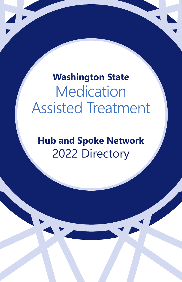**Washington State Medication** Assisted Treatment

**Hub and Spoke Network** 2022 Directory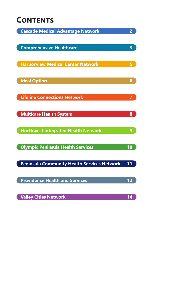#### **Contents**

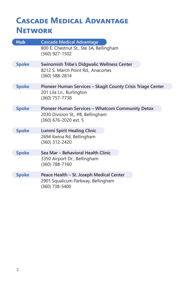#### **Cascade Medical Advantage Network**

| <b>Hub</b>   | <b>Cascade Medical Advantage</b>                            |
|--------------|-------------------------------------------------------------|
|              | 800 E. Chestnut St., Ste 3A, Bellingham<br>(360) 927-1502   |
| <b>Spoke</b> | <b>Swinomish Tribe's Didgwalic Wellness Center</b>          |
|              | 8212 S. March Point Rd., Anacortes<br>(360) 588-2814        |
| <b>Spoke</b> | Pioneer Human Services - Skagit County Crisis Triage Center |
|              | 201 Lila Ln., Burlington<br>(360) 757-7738                  |
| <b>Spoke</b> | Pioneer Human Services - Whatcom Community Detox            |
|              | 2030 Division St., #B, Bellingham<br>(360) 676-2020 ext. 5  |
| <b>Spoke</b> | <b>Lummi Spirit Healing Clinic</b>                          |
|              | 2694 Kwina Rd, Bellingham<br>(360) 312-2420                 |
| <b>Spoke</b> | Sea Mar - Behavioral Health Clinic                          |
|              | 3350 Airport Dr., Bellingham<br>(360) 788-7160              |
| <b>Spoke</b> | Peace Health - St. Joseph Medical Center                    |
|              | 2901 Squalicum Parkway, Bellingham<br>(360) 738-5400        |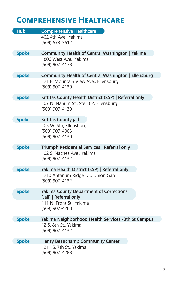## **Comprehensive Healthcare**

| <b>Hub</b>   | <b>Comprehensive Healthcare</b>                                                                                  |
|--------------|------------------------------------------------------------------------------------------------------------------|
|              | 402 4th Ave., Yakima<br>(509) 573-3612                                                                           |
| <b>Spoke</b> | Community Health of Central Washington   Yakima<br>1806 West Ave., Yakima<br>(509) 907-4178                      |
| <b>Spoke</b> | Community Health of Central Washington   Ellensburg                                                              |
|              | 521 E. Mountain View Ave., Ellensburg<br>(509) 907-4130                                                          |
| <b>Spoke</b> | Kittitas County Health District (SSP)   Referral only<br>507 N. Nanum St., Ste 102, Ellensburg<br>(509) 907-4130 |
| <b>Spoke</b> | Kittitas County jail<br>205 W. 5th, Ellensburg<br>(509) 907-4003<br>(509) 907-4130                               |
| <b>Spoke</b> | Triumph Residential Services   Referral only                                                                     |
|              | 102 S. Naches Ave., Yakima<br>(509) 907-4132                                                                     |
| <b>Spoke</b> | Yakima Health District (SSP)   Referral only                                                                     |
|              | 1210 Ahtanum Ridge Dr., Union Gap<br>(509) 907-4132                                                              |
| <b>Spoke</b> | <b>Yakima County Department of Corrections</b><br>(Jail)   Referral only                                         |
|              | 111 N. Front St., Yakima<br>(509) 907-4288                                                                       |
| <b>Spoke</b> | Yakima Neighborhood Health Services -8th St Campus                                                               |
|              | 12 S. 8th St., Yakima<br>(509) 907-4132                                                                          |
| <b>Spoke</b> | <b>Henry Beauchamp Community Center</b>                                                                          |
|              | 1211 S. 7th St., Yakima<br>(509) 907-4288                                                                        |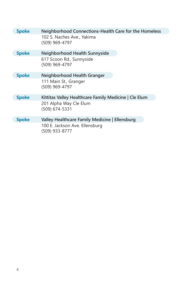| <b>Spoke</b> | Neighborhood Connections-Health Care for the Homeless |
|--------------|-------------------------------------------------------|
|              | 102 S. Naches Ave., Yakima<br>(509) 969-4797          |
| <b>Spoke</b> | Neighborhood Health Sunnyside                         |
|              | 617 Scoon Rd., Sunnyside<br>(509) 969-4797            |
| <b>Spoke</b> | Neighborhood Health Granger                           |
|              | 111 Main St., Granger<br>(509) 969-4797               |
| <b>Spoke</b> | Kittitas Valley Healthcare Family Medicine   Cle Elum |
|              | 201 Alpha Way Cle Elum<br>(509) 674-5331              |
| <b>Spoke</b> | Valley Healthcare Family Medicine   Ellensburg        |
|              | 100 E. Jackson Ave. Ellensburg<br>(509) 933-8777      |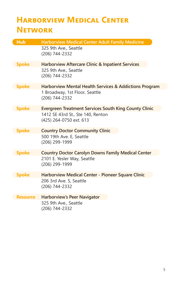### **Harborview Medical Center Network**

| <b>Hub</b>      | <b>Harborview Medical Center Adult Family Medicine</b>                                                 |
|-----------------|--------------------------------------------------------------------------------------------------------|
|                 | 325 9th Ave., Seattle<br>(206) 744-2332                                                                |
| <b>Spoke</b>    | <b>Harborview Aftercare Clinic &amp; Inpatient Services</b><br>325 9th Ave., Seattle<br>(206) 744-2332 |
| <b>Spoke</b>    | Harborview Mental Health Services & Addictions Program                                                 |
|                 | 1 Broadway, 1st Floor, Seattle<br>(206) 744-2332                                                       |
| <b>Spoke</b>    | <b>Evergreen Treatment Services South King County Clinic</b>                                           |
|                 | 1412 SE 43rd St., Ste 140, Renton<br>(425) 264-0750 ext. 613                                           |
| <b>Spoke</b>    | <b>Country Doctor Community Clinic</b>                                                                 |
|                 | 500 19th Ave. E, Seattle<br>(206) 299-1999                                                             |
| <b>Spoke</b>    | <b>Country Doctor Carolyn Downs Family Medical Center</b>                                              |
|                 | 2101 E. Yesler Way, Seattle<br>(206) 299-1999                                                          |
| <b>Spoke</b>    | Harborview Medical Center - Pioneer Square Clinic                                                      |
|                 | 206 3rd Ave. S, Seattle<br>(206) 744-2332                                                              |
| <b>Resource</b> | <b>Harborview's Peer Navigator</b>                                                                     |
|                 | 325 9th Ave., Seattle<br>(206) 744-2332                                                                |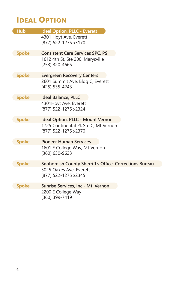### **IDEAL OPTION**

| <b>Hub</b>   | <b>Ideal Option, PLLC - Everett</b>                           |
|--------------|---------------------------------------------------------------|
|              | 4301 Hoyt Ave, Everett<br>(877) 522-1275 x3170                |
| <b>Spoke</b> | <b>Consistent Care Services SPC, PS</b>                       |
|              | 1612 4th St, Ste 200, Marysville<br>(253) 320-4665            |
| <b>Spoke</b> | <b>Evergreen Recovery Centers</b>                             |
|              | 2601 Summit Ave, Bldg C, Everett<br>(425) 535-4243            |
| <b>Spoke</b> | <b>Ideal Balance, PLLC</b>                                    |
|              | 4301Hoyt Ave, Everett<br>(877) 522-1275 x2324                 |
| <b>Spoke</b> | <b>Ideal Option, PLLC - Mount Vernon</b>                      |
|              | 1725 Continental Pl, Ste C, Mt Vernon<br>(877) 522-1275 x2370 |
| <b>Spoke</b> | <b>Pioneer Human Services</b>                                 |
|              | 1601 E College Way, Mt Vernon<br>(360) 630-9623               |
| <b>Spoke</b> | <b>Snohomish County Sherriff's Office, Corrections Bureau</b> |
|              | 3025 Oakes Ave, Everett<br>(877) 522-1275 x2345               |
| <b>Spoke</b> | Sunrise Services, Inc - Mt. Vernon                            |
|              | 2200 E College Way<br>(360) 399-7419                          |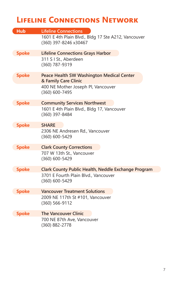### **Lifeline Connections Network**

| <b>Hub</b>   | <b>Lifeline Connections</b>                                                  |
|--------------|------------------------------------------------------------------------------|
|              | 1601 E 4th Plain Blvd., Bldg 17 Ste A212, Vancouver<br>(360) 397-8246 x30467 |
| <b>Spoke</b> | <b>Lifeline Connections Grays Harbor</b>                                     |
|              | 311 S I St., Aberdeen<br>(360) 787-9319                                      |
| <b>Spoke</b> | <b>Peace Health SW Washington Medical Center</b><br>& Family Care Clinic     |
|              | 400 NE Mother Joseph Pl, Vancouver<br>(360) 600-7495                         |
| <b>Spoke</b> | <b>Community Services Northwest</b>                                          |
|              | 1601 E 4th Plain Blvd., Bldg 17, Vancouver<br>(360) 397-8484                 |
| <b>Spoke</b> | <b>SHARE</b>                                                                 |
|              | 2306 NE Andresen Rd., Vancouver<br>(360) 600-5429                            |
| <b>Spoke</b> | <b>Clark County Corrections</b>                                              |
|              | 707 W 13th St., Vancouver<br>(360) 600-5429                                  |
| <b>Spoke</b> | Clark County Public Health, Neddle Exchange Program                          |
|              | 3701 E Fourth Plain Blvd., Vancouver<br>(360) 600-5429                       |
| <b>Spoke</b> | <b>Vancouver Treatment Solutions</b>                                         |
|              | 2009 NE 117th St #101, Vancouver<br>(360) 566-9112                           |
| <b>Spoke</b> | <b>The Vancouver Clinic</b>                                                  |
|              | 700 NE 87th Ave, Vancouver<br>(360) 882-2778                                 |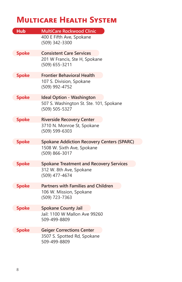#### **Multicare Health System**

| <b>Hub</b>   | <b>MultiCare Rockwood Clinic</b>                          |
|--------------|-----------------------------------------------------------|
|              | 400 E Fifth Ave, Spokane<br>(509) 342-3300                |
| <b>Spoke</b> | <b>Consistent Care Services</b>                           |
|              | 201 W Francis, Ste H, Spokane<br>(509) 655-3211           |
| <b>Spoke</b> | <b>Frontier Behavioral Health</b>                         |
|              | 107 S. Division, Spokane<br>(509) 992-4752                |
| <b>Spoke</b> | <b>Ideal Option - Washington</b>                          |
|              | 507 S. Washington St. Ste. 101, Spokane<br>(509) 505-5327 |
| <b>Spoke</b> | <b>Riverside Recovery Center</b>                          |
|              | 3710 N. Monroe St, Spokane<br>(509) 599-6303              |
| <b>Spoke</b> | <b>Spokane Addiction Recovery Centers (SPARC)</b>         |
|              | 1508 W. Sixth Ave, Spokane<br>(509) 866-3017              |
| <b>Spoke</b> | <b>Spokane Treatment and Recovery Services</b>            |
|              | 312 W. 8th Ave, Spokane<br>(509) 477-4674                 |
| <b>Spoke</b> | <b>Partners with Families and Children</b>                |
|              | 106 W. Mission, Spokane<br>(509) 723-7363                 |
| <b>Spoke</b> | <b>Spokane County Jail</b>                                |
|              | Jail: 1100 W Mallon Ave 99260<br>509-499-8809             |
| <b>Spoke</b> | <b>Geiger Corrections Center</b>                          |
|              | 3507 S. Spotted Rd, Spokane<br>509-499-8809               |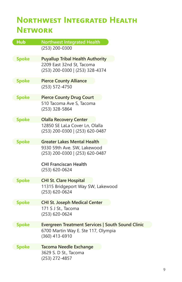### **Northwest Integrated Health Network**

| <b>Hub</b>   | <b>Northwest Integrated Health</b>                |
|--------------|---------------------------------------------------|
|              | (253) 200-0300                                    |
| <b>Spoke</b> | <b>Puyallup Tribal Health Authority</b>           |
|              | 2209 East 32nd St, Tacoma                         |
|              | (253) 200-0300   (253) 328-4374                   |
| <b>Spoke</b> | <b>Pierce County Alliance</b>                     |
|              | (253) 572-4750                                    |
| <b>Spoke</b> | <b>Pierce County Drug Court</b>                   |
|              | 510 Tacoma Ave S, Tacoma                          |
|              | (253) 328-5864                                    |
| <b>Spoke</b> | <b>Olalla Recovery Center</b>                     |
|              | 12850 SE LaLa Cover Ln, Olalla                    |
|              | (253) 200-0300   (253) 620-0487                   |
| <b>Spoke</b> | <b>Greater Lakes Mental Health</b>                |
|              | 9330 59th Ave. SW, Lakewood                       |
|              | (253) 200-0300   (253) 620-0487                   |
|              | <b>CHI Franciscan Health</b>                      |
|              | (253) 620-0624                                    |
| <b>Spoke</b> | <b>CHI St. Clare Hospital</b>                     |
|              | 11315 Bridgeport Way SW, Lakewood                 |
|              | (253) 620-0624                                    |
| <b>Spoke</b> | <b>CHI St. Joseph Medical Center</b>              |
|              | 171 S J St., Tacoma                               |
|              | (253) 620-0624                                    |
| <b>Spoke</b> | Evergreen Treatment Services   South Sound Clinic |
|              | 6700 Martin Way E. Ste 117, Olympia               |
|              | (360) 413-6910                                    |
| <b>Spoke</b> | <b>Tacoma Needle Exchange</b>                     |
|              | 3629 S. D St., Tacoma                             |
|              | (253) 272-4857                                    |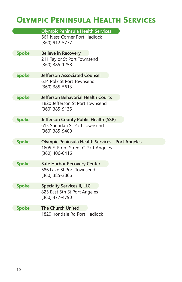# **Olympic Peninsula Health Services**

|              | <b>Olympic Peninsula Health Services</b>                |
|--------------|---------------------------------------------------------|
|              | 661 Ness Corner Port Hadlock<br>(360) 912-5777          |
| <b>Spoke</b> | <b>Believe in Recovery</b>                              |
|              | 211 Taylor St Port Townsend<br>(360) 385-1258           |
| <b>Spoke</b> | <b>Jefferson Associated Counsel</b>                     |
|              | 624 Polk St Port Townsend<br>$(360)$ 385-5613           |
| <b>Spoke</b> | <b>Jefferson Behavorial Health Courts</b>               |
|              | 1820 Jefferson St Port Townsend<br>(360) 385-9135       |
| <b>Spoke</b> | Jefferson County Public Health (SSP)                    |
|              | 615 Sheridan St Port Townsend<br>$(360)$ 385-9400       |
| <b>Spoke</b> | <b>Olympic Peninsula Health Services - Port Angeles</b> |
|              | 1605 E. Front Street C Port Angeles<br>(360) 406-0416   |
| <b>Spoke</b> | Safe Harbor Recovery Center                             |
|              | 686 Lake St Port Townsend<br>(360) 385-3866             |
| <b>Spoke</b> | <b>Specialty Services II, LLC</b>                       |
|              | 825 East 5th St Port Angeles<br>(360) 477-4790          |
| <b>Spoke</b> | <b>The Church United</b>                                |
|              | 1820 Irondale Rd Port Hadlock                           |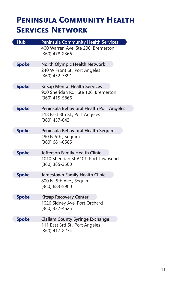### **Peninsula Community Health Services Network**

| <b>Hub</b>   | <b>Peninsula Community Health Services</b>             |
|--------------|--------------------------------------------------------|
|              | 400 Warren Ave. Ste 200, Bremerton<br>(360) 478-2366   |
| <b>Spoke</b> | <b>North Olympic Health Network</b>                    |
|              | 240 W Front St., Port Angeles<br>(360) 452-7891        |
| <b>Spoke</b> | <b>Kitsap Mental Health Services</b>                   |
|              | 900 Sheridan Rd., Ste 106, Bremerton<br>(360) 415-5866 |
| <b>Spoke</b> | Peninsula Behavioral Health Port Angeles               |
|              | 118 East 8th St., Port Angeles<br>(360) 457-0431       |
| <b>Spoke</b> | Peninsula Behavioral Health Sequim                     |
|              | 490 N 5th., Sequim<br>(360) 681-0585                   |
| <b>Spoke</b> | Jefferson Family Health Clinic                         |
|              | 1010 Sheridan St #101, Port Townsend<br>(360) 385-3500 |
| <b>Spoke</b> | Jamestown Family Health Clinic                         |
|              | 800 N. 5th Ave., Sequim<br>(360) 683-5900              |
| <b>Spoke</b> | <b>Kitsap Recovery Center</b>                          |
|              | 1026 Sidney Ave, Port Orchard<br>(360) 337-4625        |
| <b>Spoke</b> | <b>Clallam County Syringe Exchange</b>                 |
|              | 111 East 3rd St., Port Angeles<br>(360) 417-2274       |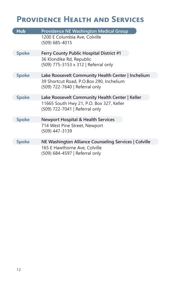## **Providence Health and Services**

| <b>Hub</b>   | <b>Providence NE Washington Medical Group</b>                              |
|--------------|----------------------------------------------------------------------------|
|              | 1200 E Columbia Ave, Colville<br>(509) 685-4015                            |
| <b>Spoke</b> | Ferry County Public Hospital District #1                                   |
|              | 36 Klondike Rd, Republic<br>(509) 775-3153 x 312   Referral only           |
| <b>Spoke</b> | Lake Roosevelt Community Health Center   Inchelium                         |
|              | 39 Shortcut Road, P.O.Box 290, Inchelium<br>(509) 722-7640   Referral only |
| <b>Spoke</b> | Lake Roosevelt Community Health Center   Keller                            |
|              | 11665 South Hwy 21, P.O. Box 327, Keller<br>(509) 722-7041   Referral only |
| <b>Spoke</b> | <b>Newport Hospital &amp; Health Services</b>                              |
|              | 714 West Pine Street, Newport<br>(509) 447-3139                            |
| Spoke        | NE Washington Alliance Counseling Services   Colville                      |
|              | 165 E Hawthorne Ave, Colville<br>(509) 684-4597   Referral only            |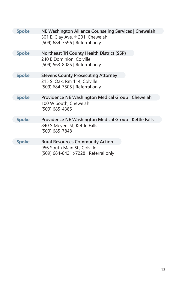| <b>Spoke</b> | NE Washington Alliance Counseling Services   Chewelah                |
|--------------|----------------------------------------------------------------------|
|              | 301 E. Clay Ave. # 201, Chewelah<br>(509) 684-7596   Referral only   |
| <b>Spoke</b> | <b>Northeast Tri County Health District (SSP)</b>                    |
|              | 240 E Dominion, Colville<br>(509) 563-8025   Referral only           |
| <b>Spoke</b> | <b>Stevens County Prosecuting Attorney</b>                           |
|              | 215 S. Oak, Rm 114, Colville<br>(509) 684-7505   Referral only       |
| <b>Spoke</b> | Providence NE Washington Medical Group   Chewelah                    |
|              | 100 W South, Chewelah<br>(509) 685-4385                              |
| <b>Spoke</b> | Providence NE Washington Medical Group   Kettle Falls                |
|              | 840 S Meyers St, Kettle Falls<br>(509) 685-7848                      |
| <b>Spoke</b> | <b>Rural Resources Community Action</b>                              |
|              | 956 South Main St., Colville<br>(509) 684-8421 x7228   Referral only |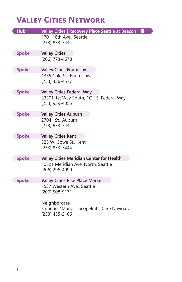### **Valley Cities Network**

| <b>Hub</b>   | Valley Cities   Recovery Place Seattle at Beacon Hill     |
|--------------|-----------------------------------------------------------|
|              | 1701 18th Ave., Seattle<br>(253) 833-7444                 |
| <b>Spoke</b> | <b>Valley Cities</b>                                      |
|              | (206) 773-4678                                            |
| <b>Spoke</b> | <b>Valley Cities Enumclaw</b>                             |
|              | 1335 Cole St., Enumclaw<br>(253) 336-4577                 |
| <b>Spoke</b> | <b>Valley Cities Federal Way</b>                          |
|              | 33301 1st Way South, #C-15, Federal Way<br>(253) 939-4055 |
| <b>Spoke</b> | <b>Valley Cities Auburn</b>                               |
|              | 2704   St., Auburn<br>(253) 833-7444                      |
| <b>Spoke</b> | <b>Valley Cities Kent</b>                                 |
|              | 325 W. Gowe St., Kent                                     |
|              | (253) 833-7444                                            |
| <b>Spoke</b> | <b>Valley Cities Meridian Center for Health</b>           |
|              | 10521 Meridian Ave. North, Seattle<br>(206) 296-4990      |
| <b>Spoke</b> | <b>Valley Cities Pike Place Market</b>                    |
|              | 1537 Western Ave., Seattle<br>(206) 508-9171              |
|              | Neighborcare                                              |
|              | Emanuel "Manoli" Scopelitits, Care Navigator              |
|              | (253) 455-2166                                            |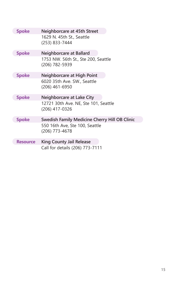| <b>Spoke</b>    | Neighborcare at 45th Street                            |
|-----------------|--------------------------------------------------------|
|                 | 1629 N. 45th St., Seattle<br>(253) 833-7444            |
| <b>Spoke</b>    | Neighborcare at Ballard                                |
|                 | 1753 NW. 56th St., Ste 200, Seattle<br>(206) 782-5939  |
| <b>Spoke</b>    | Neighborcare at High Point                             |
|                 | 6020 35th Ave. SW., Seattle<br>(206) 461-6950          |
| <b>Spoke</b>    | Neighborcare at Lake City                              |
|                 | 12721 30th Ave. NE, Ste 101, Seattle<br>(206) 417-0326 |
| <b>Spoke</b>    | Swedish Family Medicine Cherry Hill OB Clinic          |
|                 | 550 16th Ave, Ste 100, Seattle<br>(206) 773-4678       |
| <b>Resource</b> | <b>King County Jail Release</b>                        |
|                 | Call for details (206) 773-7111                        |